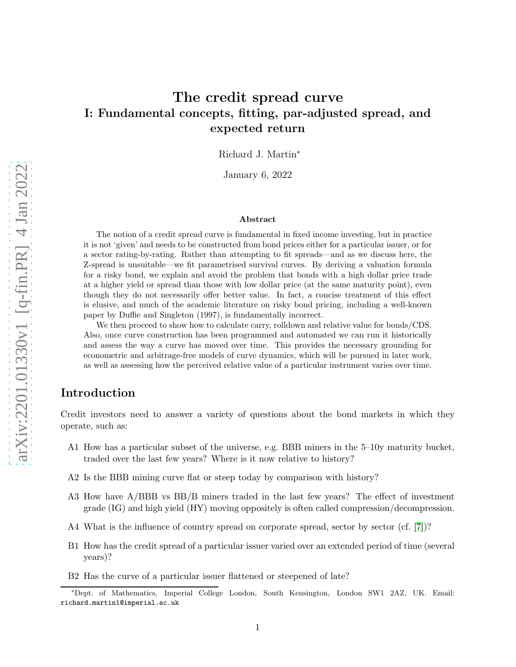# The credit spread curve I: Fundamental concepts, fitting, par-adjusted spread, and expected return

Richard J. Martin<sup>∗</sup>

January 6, 2022

#### Abstract

The notion of a credit spread curve is fundamental in fixed income investing, but in practice it is not 'given' and needs to be constructed from bond prices either for a particular issuer, or for a sector rating-by-rating. Rather than attempting to fit spreads—and as we discuss here, the Z-spread is unsuitable—we fit parametrised survival curves. By deriving a valuation formula for a risky bond, we explain and avoid the problem that bonds with a high dollar price trade at a higher yield or spread than those with low dollar price (at the same maturity point), even though they do not necessarily offer better value. In fact, a concise treatment of this effect is elusive, and much of the academic literature on risky bond pricing, including a well-known paper by Duffie and Singleton (1997), is fundamentally incorrect.

We then proceed to show how to calculate carry, rolldown and relative value for bonds/CDS. Also, once curve construction has been programmed and automated we can run it historically and assess the way a curve has moved over time. This provides the necessary grounding for econometric and arbitrage-free models of curve dynamics, which will be pursued in later work, as well as assessing how the perceived relative value of a particular instrument varies over time.

# Introduction

Credit investors need to answer a variety of questions about the bond markets in which they operate, such as:

- A1 How has a particular subset of the universe, e.g. BBB miners in the 5–10y maturity bucket, traded over the last few years? Where is it now relative to history?
- A2 Is the BBB mining curve flat or steep today by comparison with history?
- A3 How have A/BBB vs BB/B miners traded in the last few years? The effect of investment grade (IG) and high yield (HY) moving oppositely is often called compression/decompression.
- A4 What is the influence of country spread on corporate spread, sector by sector (cf. [\[7\]](#page-18-0))?
- B1 How has the credit spread of a particular issuer varied over an extended period of time (several years)?
- B2 Has the curve of a particular issuer flattened or steepened of late?

<sup>∗</sup>Dept. of Mathematics, Imperial College London, South Kensington, London SW1 2AZ, UK. Email: richard.martin1@imperial.ac.uk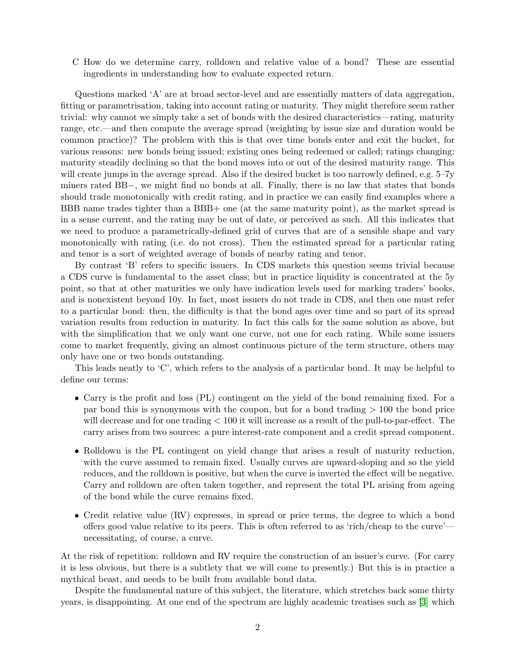C How do we determine carry, rolldown and relative value of a bond? These are essential ingredients in understanding how to evaluate expected return.

Questions marked 'A' are at broad sector-level and are essentially matters of data aggregation, fitting or parametrisation, taking into account rating or maturity. They might therefore seem rather trivial: why cannot we simply take a set of bonds with the desired characteristics—rating, maturity range, etc.—and then compute the average spread (weighting by issue size and duration would be common practice)? The problem with this is that over time bonds enter and exit the bucket, for various reasons: new bonds being issued; existing ones being redeemed or called; ratings changing; maturity steadily declining so that the bond moves into or out of the desired maturity range. This will create jumps in the average spread. Also if the desired bucket is too narrowly defined, e.g. 5–7y miners rated BB−, we might find no bonds at all. Finally, there is no law that states that bonds should trade monotonically with credit rating, and in practice we can easily find examples where a BBB name trades tighter than a BBB+ one (at the same maturity point), as the market spread is in a sense current, and the rating may be out of date, or perceived as such. All this indicates that we need to produce a parametrically-defined grid of curves that are of a sensible shape and vary monotonically with rating (i.e. do not cross). Then the estimated spread for a particular rating and tenor is a sort of weighted average of bonds of nearby rating and tenor.

By contrast 'B' refers to specific issuers. In CDS markets this question seems trivial because a CDS curve is fundamental to the asset class; but in practice liquidity is concentrated at the 5y point, so that at other maturities we only have indication levels used for marking traders' books, and is nonexistent beyond 10y. In fact, most issuers do not trade in CDS, and then one must refer to a particular bond: then, the difficulty is that the bond ages over time and so part of its spread variation results from reduction in maturity. In fact this calls for the same solution as above, but with the simplification that we only want one curve, not one for each rating. While some issuers come to market frequently, giving an almost continuous picture of the term structure, others may only have one or two bonds outstanding.

This leads neatly to 'C', which refers to the analysis of a particular bond. It may be helpful to define our terms:

- Carry is the profit and loss (PL) contingent on the yield of the bond remaining fixed. For a par bond this is synonymous with the coupon, but for a bond trading > 100 the bond price will decrease and for one trading < 100 it will increase as a result of the pull-to-par-effect. The carry arises from two sources: a pure interest-rate component and a credit spread component.
- Rolldown is the PL contingent on yield change that arises a result of maturity reduction, with the curve assumed to remain fixed. Usually curves are upward-sloping and so the yield reduces, and the rolldown is positive, but when the curve is inverted the effect will be negative. Carry and rolldown are often taken together, and represent the total PL arising from ageing of the bond while the curve remains fixed.
- Credit relative value (RV) expresses, in spread or price terms, the degree to which a bond offers good value relative to its peers. This is often referred to as 'rich/cheap to the curve' necessitating, of course, a curve.

At the risk of repetition: rolldown and RV require the construction of an issuer's curve. (For carry it is less obvious, but there is a subtlety that we will come to presently.) But this is in practice a mythical beast, and needs to be built from available bond data.

Despite the fundamental nature of this subject, the literature, which stretches back some thirty years, is disappointing. At one end of the spectrum are highly academic treatises such as [\[3\]](#page-18-1) which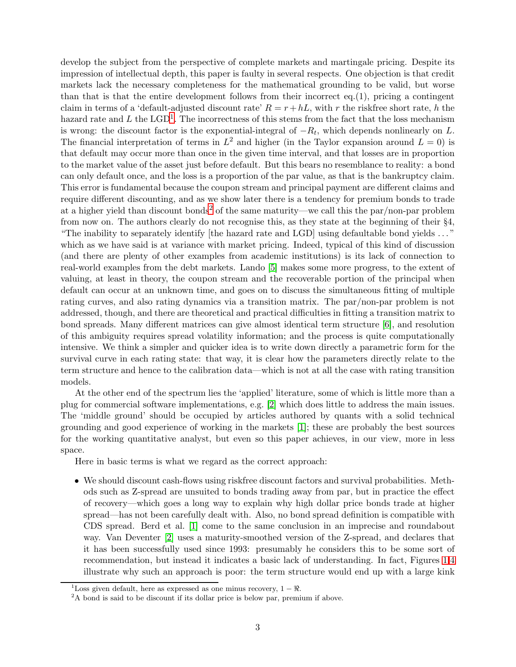develop the subject from the perspective of complete markets and martingale pricing. Despite its impression of intellectual depth, this paper is faulty in several respects. One objection is that credit markets lack the necessary completeness for the mathematical grounding to be valid, but worse than that is that the entire development follows from their incorrect eq.(1), pricing a contingent claim in terms of a 'default-adjusted discount rate'  $R = r + hL$ , with r the riskfree short rate, h the hazard rate and L the  $\text{LGD}^1$  $\text{LGD}^1$ . The incorrectness of this stems from the fact that the loss mechanism is wrong: the discount factor is the exponential-integral of  $-R_t$ , which depends nonlinearly on L. The financial interpretation of terms in  $L^2$  and higher (in the Taylor expansion around  $L = 0$ ) is that default may occur more than once in the given time interval, and that losses are in proportion to the market value of the asset just before default. But this bears no resemblance to reality: a bond can only default once, and the loss is a proportion of the par value, as that is the bankruptcy claim. This error is fundamental because the coupon stream and principal payment are different claims and require different discounting, and as we show later there is a tendency for premium bonds to trade at a higher yield than discount bonds<sup>[2](#page-2-1)</sup> of the same maturity—we call this the par/non-par problem from now on. The authors clearly do not recognise this, as they state at the beginning of their §4, "The inability to separately identify [the hazard rate and LGD] using defaultable bond yields . . . " which as we have said is at variance with market pricing. Indeed, typical of this kind of discussion (and there are plenty of other examples from academic institutions) is its lack of connection to real-world examples from the debt markets. Lando [\[5\]](#page-18-2) makes some more progress, to the extent of valuing, at least in theory, the coupon stream and the recoverable portion of the principal when default can occur at an unknown time, and goes on to discuss the simultaneous fitting of multiple rating curves, and also rating dynamics via a transition matrix. The par/non-par problem is not addressed, though, and there are theoretical and practical difficulties in fitting a transition matrix to bond spreads. Many different matrices can give almost identical term structure [\[6\]](#page-18-3), and resolution of this ambiguity requires spread volatility information; and the process is quite computationally intensive. We think a simpler and quicker idea is to write down directly a parametric form for the survival curve in each rating state: that way, it is clear how the parameters directly relate to the term structure and hence to the calibration data—which is not at all the case with rating transition models.

At the other end of the spectrum lies the 'applied' literature, some of which is little more than a plug for commercial software implementations, e.g. [\[2\]](#page-18-4) which does little to address the main issues. The 'middle ground' should be occupied by articles authored by quants with a solid technical grounding and good experience of working in the markets [\[1\]](#page-18-5); these are probably the best sources for the working quantitative analyst, but even so this paper achieves, in our view, more in less space.

Here in basic terms is what we regard as the correct approach:

• We should discount cash-flows using riskfree discount factors and survival probabilities. Methods such as Z-spread are unsuited to bonds trading away from par, but in practice the effect of recovery—which goes a long way to explain why high dollar price bonds trade at higher spread—has not been carefully dealt with. Also, no bond spread definition is compatible with CDS spread. Berd et al. [\[1\]](#page-18-5) come to the same conclusion in an imprecise and roundabout way. Van Deventer [\[2\]](#page-18-4) uses a maturity-smoothed version of the Z-spread, and declares that it has been successfully used since 1993: presumably he considers this to be some sort of recommendation, but instead it indicates a basic lack of understanding. In fact, Figures [1](#page-6-0)[,4](#page-10-0) illustrate why such an approach is poor: the term structure would end up with a large kink

<sup>&</sup>lt;sup>1</sup>Loss given default, here as expressed as one minus recovery,  $1 - \Re$ .

<span id="page-2-1"></span><span id="page-2-0"></span><sup>&</sup>lt;sup>2</sup>A bond is said to be discount if its dollar price is below par, premium if above.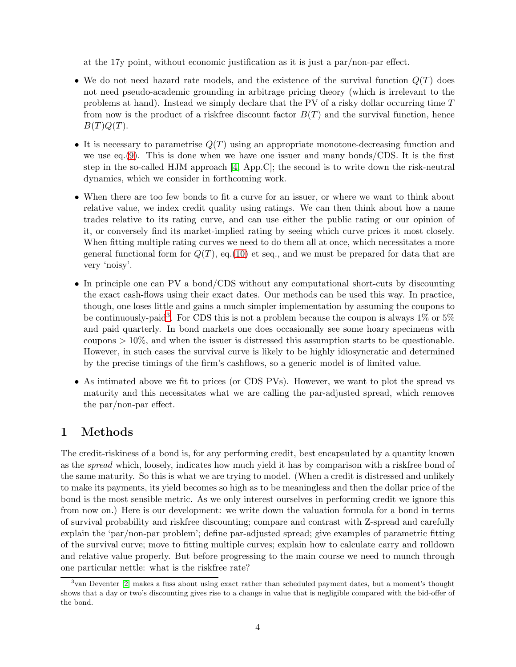at the 17y point, without economic justification as it is just a par/non-par effect.

- We do not need hazard rate models, and the existence of the survival function  $Q(T)$  does not need pseudo-academic grounding in arbitrage pricing theory (which is irrelevant to the problems at hand). Instead we simply declare that the PV of a risky dollar occurring time T from now is the product of a riskfree discount factor  $B(T)$  and the survival function, hence  $B(T)Q(T).$
- It is necessary to parametrise  $Q(T)$  using an appropriate monotone-decreasing function and we use eq.  $(9)$ . This is done when we have one issuer and many bonds/CDS. It is the first step in the so-called HJM approach [\[4,](#page-18-6) App.C]; the second is to write down the risk-neutral dynamics, which we consider in forthcoming work.
- When there are too few bonds to fit a curve for an issuer, or where we want to think about relative value, we index credit quality using ratings. We can then think about how a name trades relative to its rating curve, and can use either the public rating or our opinion of it, or conversely find its market-implied rating by seeing which curve prices it most closely. When fitting multiple rating curves we need to do them all at once, which necessitates a more general functional form for  $Q(T)$ , eq.[\(10\)](#page-11-1) et seq., and we must be prepared for data that are very 'noisy'.
- In principle one can PV a bond/CDS without any computational short-cuts by discounting the exact cash-flows using their exact dates. Our methods can be used this way. In practice, though, one loses little and gains a much simpler implementation by assuming the coupons to be continuously-paid<sup>[3](#page-3-0)</sup>. For CDS this is not a problem because the coupon is always 1% or 5% and paid quarterly. In bond markets one does occasionally see some hoary specimens with coupons  $> 10\%$ , and when the issuer is distressed this assumption starts to be questionable. However, in such cases the survival curve is likely to be highly idiosyncratic and determined by the precise timings of the firm's cashflows, so a generic model is of limited value.
- As intimated above we fit to prices (or CDS PVs). However, we want to plot the spread vs maturity and this necessitates what we are calling the par-adjusted spread, which removes the par/non-par effect.

# 1 Methods

The credit-riskiness of a bond is, for any performing credit, best encapsulated by a quantity known as the *spread* which, loosely, indicates how much yield it has by comparison with a riskfree bond of the same maturity. So this is what we are trying to model. (When a credit is distressed and unlikely to make its payments, its yield becomes so high as to be meaningless and then the dollar price of the bond is the most sensible metric. As we only interest ourselves in performing credit we ignore this from now on.) Here is our development: we write down the valuation formula for a bond in terms of survival probability and riskfree discounting; compare and contrast with Z-spread and carefully explain the 'par/non-par problem'; define par-adjusted spread; give examples of parametric fitting of the survival curve; move to fitting multiple curves; explain how to calculate carry and rolldown and relative value properly. But before progressing to the main course we need to munch through one particular nettle: what is the riskfree rate?

<span id="page-3-0"></span><sup>3</sup> van Deventer [\[2\]](#page-18-4) makes a fuss about using exact rather than scheduled payment dates, but a moment's thought shows that a day or two's discounting gives rise to a change in value that is negligible compared with the bid-offer of the bond.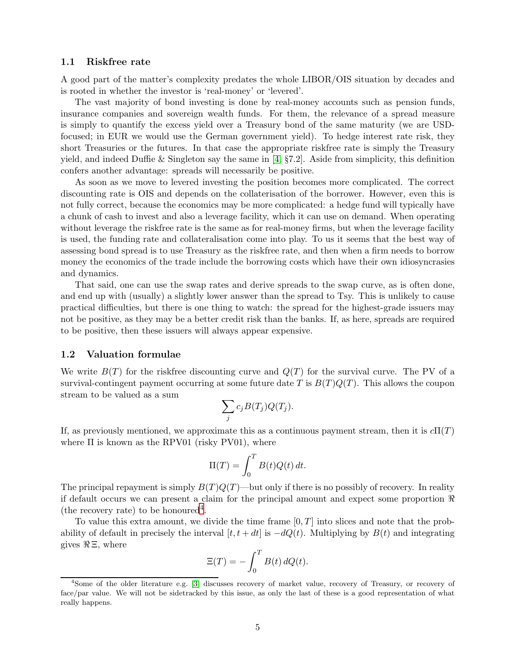## 1.1 Riskfree rate

A good part of the matter's complexity predates the whole LIBOR/OIS situation by decades and is rooted in whether the investor is 'real-money' or 'levered'.

The vast majority of bond investing is done by real-money accounts such as pension funds, insurance companies and sovereign wealth funds. For them, the relevance of a spread measure is simply to quantify the excess yield over a Treasury bond of the same maturity (we are USDfocused; in EUR we would use the German government yield). To hedge interest rate risk, they short Treasuries or the futures. In that case the appropriate riskfree rate is simply the Treasury yield, and indeed Duffie & Singleton say the same in [\[4,](#page-18-6)  $\S7.2$ ]. Aside from simplicity, this definition confers another advantage: spreads will necessarily be positive.

As soon as we move to levered investing the position becomes more complicated. The correct discounting rate is OIS and depends on the collaterisation of the borrower. However, even this is not fully correct, because the economics may be more complicated: a hedge fund will typically have a chunk of cash to invest and also a leverage facility, which it can use on demand. When operating without leverage the riskfree rate is the same as for real-money firms, but when the leverage facility is used, the funding rate and collateralisation come into play. To us it seems that the best way of assessing bond spread is to use Treasury as the riskfree rate, and then when a firm needs to borrow money the economics of the trade include the borrowing costs which have their own idiosyncrasies and dynamics.

That said, one can use the swap rates and derive spreads to the swap curve, as is often done, and end up with (usually) a slightly lower answer than the spread to Tsy. This is unlikely to cause practical difficulties, but there is one thing to watch: the spread for the highest-grade issuers may not be positive, as they may be a better credit risk than the banks. If, as here, spreads are required to be positive, then these issuers will always appear expensive.

#### 1.2 Valuation formulae

We write  $B(T)$  for the riskfree discounting curve and  $Q(T)$  for the survival curve. The PV of a survival-contingent payment occurring at some future date T is  $B(T)Q(T)$ . This allows the coupon stream to be valued as a sum

$$
\sum_j c_j B(T_j) Q(T_j).
$$

If, as previously mentioned, we approximate this as a continuous payment stream, then it is  $c\Pi(T)$ where  $\Pi$  is known as the RPV01 (risky PV01), where

$$
\Pi(T) = \int_0^T B(t)Q(t) dt.
$$

The principal repayment is simply  $B(T)Q(T)$ —but only if there is no possibly of recovery. In reality if default occurs we can present a claim for the principal amount and expect some proportion  $\Re$ (the recovery rate) to be honoured<sup>[4](#page-4-0)</sup>.

To value this extra amount, we divide the time frame  $[0, T]$  into slices and note that the probability of default in precisely the interval  $[t, t + dt]$  is  $-dQ(t)$ . Multiplying by  $B(t)$  and integrating gives  $\Re \Xi$ , where

$$
\Xi(T) = -\int_0^T B(t) \, dQ(t).
$$

<span id="page-4-0"></span><sup>4</sup>Some of the older literature e.g. [\[3\]](#page-18-1) discusses recovery of market value, recovery of Treasury, or recovery of face/par value. We will not be sidetracked by this issue, as only the last of these is a good representation of what really happens.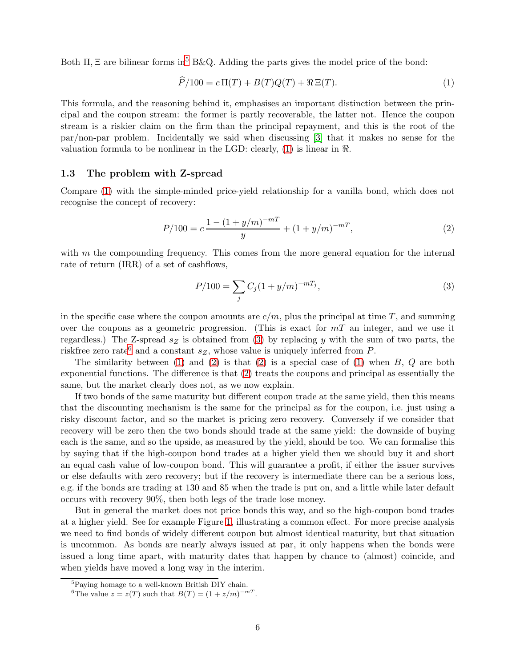Both  $\Pi$ ,  $\Xi$  are bilinear forms in<sup>[5](#page-5-0)</sup> B&Q. Adding the parts gives the model price of the bond:

<span id="page-5-1"></span>
$$
\widehat{P}/100 = c \Pi(T) + B(T)Q(T) + \Re \Xi(T). \tag{1}
$$

This formula, and the reasoning behind it, emphasises an important distinction between the principal and the coupon stream: the former is partly recoverable, the latter not. Hence the coupon stream is a riskier claim on the firm than the principal repayment, and this is the root of the par/non-par problem. Incidentally we said when discussing [\[3\]](#page-18-1) that it makes no sense for the valuation formula to be nonlinear in the LGD: clearly, [\(1\)](#page-5-1) is linear in ℜ.

## 1.3 The problem with Z-spread

Compare [\(1\)](#page-5-1) with the simple-minded price-yield relationship for a vanilla bond, which does not recognise the concept of recovery:

<span id="page-5-4"></span>
$$
P/100 = c \frac{1 - (1 + y/m)^{-mT}}{y} + (1 + y/m)^{-mT},
$$
\n(2)

with  $m$  the compounding frequency. This comes from the more general equation for the internal rate of return (IRR) of a set of cashflows,

<span id="page-5-2"></span>
$$
P/100 = \sum_{j} C_j (1 + y/m)^{-mT_j},\tag{3}
$$

in the specific case where the coupon amounts are  $c/m$ , plus the principal at time T, and summing over the coupons as a geometric progression. (This is exact for  $mT$  an integer, and we use it regardless.) The Z-spread  $s_Z$  is obtained from [\(3\)](#page-5-2) by replacing y with the sum of two parts, the riskfree zero rate<sup>[6](#page-5-3)</sup> and a constant  $s_Z$ , whose value is uniquely inferred from P.

The similarity between  $(1)$  and  $(2)$  is that  $(2)$  is a special case of  $(1)$  when  $B, Q$  are both exponential functions. The difference is that [\(2\)](#page-5-4) treats the coupons and principal as essentially the same, but the market clearly does not, as we now explain.

If two bonds of the same maturity but different coupon trade at the same yield, then this means that the discounting mechanism is the same for the principal as for the coupon, i.e. just using a risky discount factor, and so the market is pricing zero recovery. Conversely if we consider that recovery will be zero then the two bonds should trade at the same yield: the downside of buying each is the same, and so the upside, as measured by the yield, should be too. We can formalise this by saying that if the high-coupon bond trades at a higher yield then we should buy it and short an equal cash value of low-coupon bond. This will guarantee a profit, if either the issuer survives or else defaults with zero recovery; but if the recovery is intermediate there can be a serious loss, e.g. if the bonds are trading at 130 and 85 when the trade is put on, and a little while later default occurs with recovery 90%, then both legs of the trade lose money.

But in general the market does not price bonds this way, and so the high-coupon bond trades at a higher yield. See for example Figure [1,](#page-6-0) illustrating a common effect. For more precise analysis we need to find bonds of widely different coupon but almost identical maturity, but that situation is uncommon. As bonds are nearly always issued at par, it only happens when the bonds were issued a long time apart, with maturity dates that happen by chance to (almost) coincide, and when yields have moved a long way in the interim.

<sup>&</sup>lt;sup>5</sup>Paying homage to a well-known British DIY chain.

<span id="page-5-3"></span><span id="page-5-0"></span><sup>&</sup>lt;sup>6</sup>The value  $z = z(T)$  such that  $B(T) = (1 + z/m)^{-mT}$ .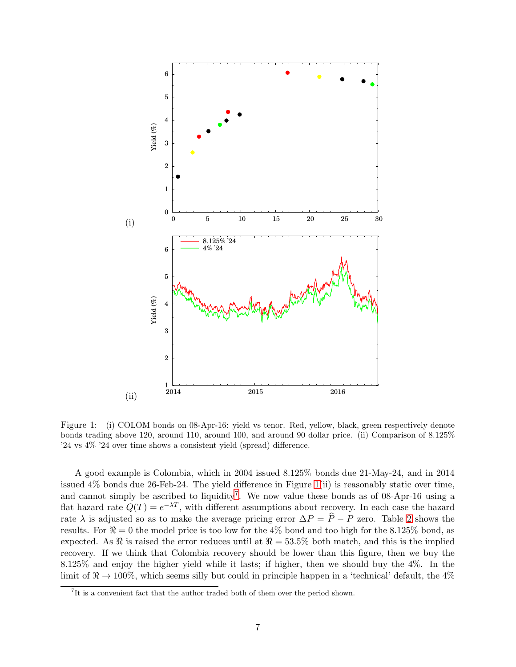

<span id="page-6-0"></span>Figure 1: (i) COLOM bonds on 08-Apr-16: yield vs tenor. Red, yellow, black, green respectively denote bonds trading above 120, around 110, around 100, and around 90 dollar price. (ii) Comparison of 8.125% '24 vs 4% '24 over time shows a consistent yield (spread) difference.

A good example is Colombia, which in 2004 issued 8.125% bonds due 21-May-24, and in 2014 issued 4% bonds due 26-Feb-24. The yield difference in Figure [1\(](#page-6-0)ii) is reasonably static over time, and cannot simply be ascribed to liquidity<sup>[7](#page-6-1)</sup>. We now value these bonds as of 08-Apr-16 using a flat hazard rate  $Q(T) = e^{-\lambda T}$ , with different assumptions about recovery. In each case the hazard rate  $\lambda$  is adjusted so as to make the average pricing error  $\Delta P = \hat{P} - P$  zero. Table [2](#page-7-0) shows the results. For  $\Re = 0$  the model price is too low for the 4% bond and too high for the 8.125% bond, as expected. As  $\Re$  is raised the error reduces until at  $\Re = 53.5\%$  both match, and this is the implied recovery. If we think that Colombia recovery should be lower than this figure, then we buy the 8.125% and enjoy the higher yield while it lasts; if higher, then we should buy the 4%. In the limit of  $\mathcal{R} \to 100\%$ , which seems silly but could in principle happen in a 'technical' default, the 4%

<span id="page-6-1"></span><sup>&</sup>lt;sup>7</sup>It is a convenient fact that the author traded both of them over the period shown.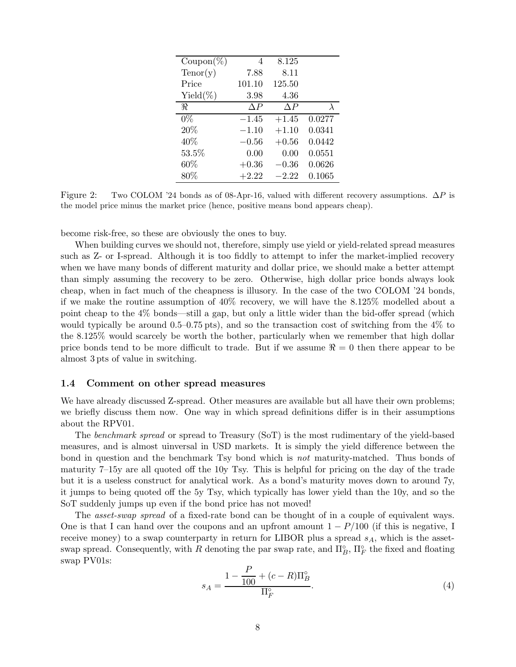| $\mathrm{Coupon}(\%)$ | 4       | 8.125     |        |
|-----------------------|---------|-----------|--------|
| Tenor(y)              | 7.88    | 8.11      |        |
| Price                 | 101.10  | 125.50    |        |
| Yield $(\%)$          | 3.98    | 4.36      |        |
| R                     | ΛP      | ΛP        | λ      |
| $0\%$                 | $-1.45$ | $+1.45$   | 0.0277 |
| 20%                   | $-1.10$ | $+1.10$   | 0.0341 |
| 40%                   | $-0.56$ | $+0.56$   | 0.0442 |
| 53.5%                 | 0.00    | 0.00      | 0.0551 |
| 60%                   | $+0.36$ | $-0.36\,$ | 0.0626 |
| 80%                   | $+2.22$ | $-2.22$   | 0.1065 |

<span id="page-7-0"></span>Figure 2: Two COLOM '24 bonds as of 08-Apr-16, valued with different recovery assumptions.  $\Delta P$  is the model price minus the market price (hence, positive means bond appears cheap).

become risk-free, so these are obviously the ones to buy.

When building curves we should not, therefore, simply use yield or yield-related spread measures such as Z- or I-spread. Although it is too fiddly to attempt to infer the market-implied recovery when we have many bonds of different maturity and dollar price, we should make a better attempt than simply assuming the recovery to be zero. Otherwise, high dollar price bonds always look cheap, when in fact much of the cheapness is illusory. In the case of the two COLOM '24 bonds, if we make the routine assumption of 40% recovery, we will have the 8.125% modelled about a point cheap to the 4% bonds—still a gap, but only a little wider than the bid-offer spread (which would typically be around 0.5–0.75 pts), and so the transaction cost of switching from the 4% to the 8.125% would scarcely be worth the bother, particularly when we remember that high dollar price bonds tend to be more difficult to trade. But if we assume  $\Re = 0$  then there appear to be almost 3 pts of value in switching.

## 1.4 Comment on other spread measures

We have already discussed Z-spread. Other measures are available but all have their own problems; we briefly discuss them now. One way in which spread definitions differ is in their assumptions about the RPV01.

The *benchmark spread* or spread to Treasury (SoT) is the most rudimentary of the yield-based measures, and is almost uinversal in USD markets. It is simply the yield difference between the bond in question and the benchmark Tsy bond which is *not* maturity-matched. Thus bonds of maturity 7–15y are all quoted off the 10y Tsy. This is helpful for pricing on the day of the trade but it is a useless construct for analytical work. As a bond's maturity moves down to around 7y, it jumps to being quoted off the 5y Tsy, which typically has lower yield than the 10y, and so the SoT suddenly jumps up even if the bond price has not moved!

The *asset-swap spread* of a fixed-rate bond can be thought of in a couple of equivalent ways. One is that I can hand over the coupons and an upfront amount  $1 - P/100$  (if this is negative, I receive money) to a swap counterparty in return for LIBOR plus a spread  $s_A$ , which is the assetswap spread. Consequently, with R denoting the par swap rate, and  $\Pi_B^{\circ}$ ,  $\Pi_F^{\circ}$  the fixed and floating swap PV01s:

$$
s_A = \frac{1 - \frac{P}{100} + (c - R)\Pi_B^{\circ}}{\Pi_F^{\circ}}.
$$
\n(4)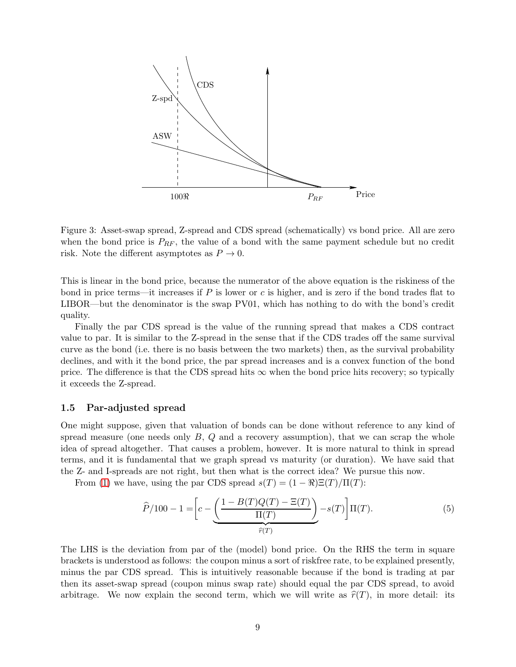

Figure 3: Asset-swap spread, Z-spread and CDS spread (schematically) vs bond price. All are zero when the bond price is  $P_{RF}$ , the value of a bond with the same payment schedule but no credit risk. Note the different asymptotes as  $P \to 0$ .

This is linear in the bond price, because the numerator of the above equation is the riskiness of the bond in price terms—it increases if P is lower or c is higher, and is zero if the bond trades flat to LIBOR—but the denominator is the swap PV01, which has nothing to do with the bond's credit quality.

Finally the par CDS spread is the value of the running spread that makes a CDS contract value to par. It is similar to the Z-spread in the sense that if the CDS trades off the same survival curve as the bond (i.e. there is no basis between the two markets) then, as the survival probability declines, and with it the bond price, the par spread increases and is a convex function of the bond price. The difference is that the CDS spread hits  $\infty$  when the bond price hits recovery; so typically it exceeds the Z-spread.

#### 1.5 Par-adjusted spread

One might suppose, given that valuation of bonds can be done without reference to any kind of spread measure (one needs only  $B, Q$  and a recovery assumption), that we can scrap the whole idea of spread altogether. That causes a problem, however. It is more natural to think in spread terms, and it is fundamental that we graph spread vs maturity (or duration). We have said that the Z- and I-spreads are not right, but then what is the correct idea? We pursue this now.

From [\(1\)](#page-5-1) we have, using the par CDS spread  $s(T) = (1 - \Re) \Xi(T) / \Pi(T)$ :

$$
\widehat{P}/100 - 1 = \left[c - \underbrace{\left(\frac{1 - B(T)Q(T) - \Xi(T)}{\Pi(T)}\right)}_{\widehat{r}(T)} - s(T)\right]\Pi(T). \tag{5}
$$

The LHS is the deviation from par of the (model) bond price. On the RHS the term in square brackets is understood as follows: the coupon minus a sort of riskfree rate, to be explained presently, minus the par CDS spread. This is intuitively reasonable because if the bond is trading at par then its asset-swap spread (coupon minus swap rate) should equal the par CDS spread, to avoid arbitrage. We now explain the second term, which we will write as  $\hat{r}(T)$ , in more detail: its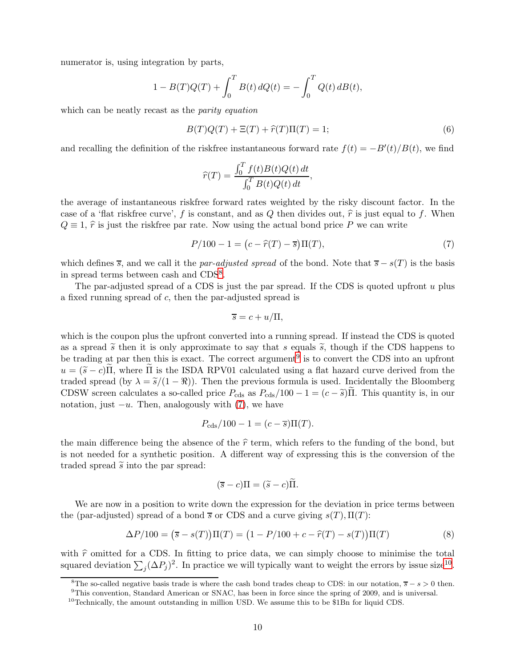numerator is, using integration by parts,

$$
1 - B(T)Q(T) + \int_0^T B(t) dQ(t) = - \int_0^T Q(t) dB(t),
$$

which can be neatly recast as the *parity equation*

<span id="page-9-4"></span>
$$
B(T)Q(T) + \Xi(T) + \hat{r}(T)\Pi(T) = 1;
$$
\n(6)

and recalling the definition of the riskfree instantaneous forward rate  $f(t) = -B'(t)/B(t)$ , we find

$$
\widehat{r}(T) = \frac{\int_0^T f(t)B(t)Q(t) dt}{\int_0^T B(t)Q(t) dt},
$$

the average of instantaneous riskfree forward rates weighted by the risky discount factor. In the case of a 'flat riskfree curve', f is constant, and as Q then divides out,  $\hat{r}$  is just equal to f. When  $Q \equiv 1$ ,  $\hat{r}$  is just the riskfree par rate. Now using the actual bond price P we can write

<span id="page-9-2"></span>
$$
P/100 - 1 = (c - \hat{r}(T) - \bar{s})\Pi(T),
$$
\n(7)

which defines  $\overline{s}$ , and we call it the *par-adjusted spread* of the bond. Note that  $\overline{s} - s(T)$  is the basis in spread terms between cash and CDS[8](#page-9-0) .

The par-adjusted spread of a CDS is just the par spread. If the CDS is quoted upfront  $u$  plus a fixed running spread of c, then the par-adjusted spread is

$$
\overline{s} = c + u/\Pi,
$$

which is the coupon plus the upfront converted into a running spread. If instead the CDS is quoted as a spread  $\tilde{s}$  then it is only approximate to say that s equals  $\tilde{s}$ , though if the CDS happens to be trading at par then this is exact. The correct argument<sup>[9](#page-9-1)</sup> is to convert the CDS into an upfront  $u = (\tilde{s} - c)\Pi$ , where  $\Pi$  is the ISDA RPV01 calculated using a flat hazard curve derived from the traded spread (by  $\lambda = \tilde{s}/(1 - \Re)$ ). Then the previous formula is used. Incidentally the Bloomberg CDSW screen calculates a so-called price  $P_{\text{cds}}$  as  $P_{\text{cds}}/100 - 1 = (c - \tilde{s})\Pi$ . This quantity is, in our notation, just  $-u$ . Then, analogously with [\(7\)](#page-9-2), we have

$$
P_{\text{cds}}/100 - 1 = (c - \overline{s})\Pi(T).
$$

the main difference being the absence of the  $\hat{r}$  term, which refers to the funding of the bond, but is not needed for a synthetic position. A different way of expressing this is the conversion of the traded spread  $\tilde{s}$  into the par spread:

$$
(\overline{s} - c)\Pi = (\widetilde{s} - c)\widetilde{\Pi}.
$$

We are now in a position to write down the expression for the deviation in price terms between the (par-adjusted) spread of a bond  $\overline{s}$  or CDS and a curve giving  $s(T), \Pi(T)$ :

<span id="page-9-5"></span>
$$
\Delta P/100 = (\overline{s} - s(T))\Pi(T) = (1 - P/100 + c - \hat{r}(T) - s(T))\Pi(T)
$$
\n(8)

with  $\hat{r}$  omitted for a CDS. In fitting to price data, we can simply choose to minimise the total squared deviation  $\sum_j (\Delta P_j)^2$ . In practice we will typically want to weight the errors by issue size<sup>[10](#page-9-3)</sup>.

<sup>&</sup>lt;sup>8</sup>The so-called negative basis trade is where the cash bond trades cheap to CDS: in our notation,  $\overline{s} - s > 0$  then.

<span id="page-9-0"></span><sup>9</sup>This convention, Standard American or SNAC, has been in force since the spring of 2009, and is universal.

<span id="page-9-3"></span><span id="page-9-1"></span> $10$ Technically, the amount outstanding in million USD. We assume this to be \$1Bn for liquid CDS.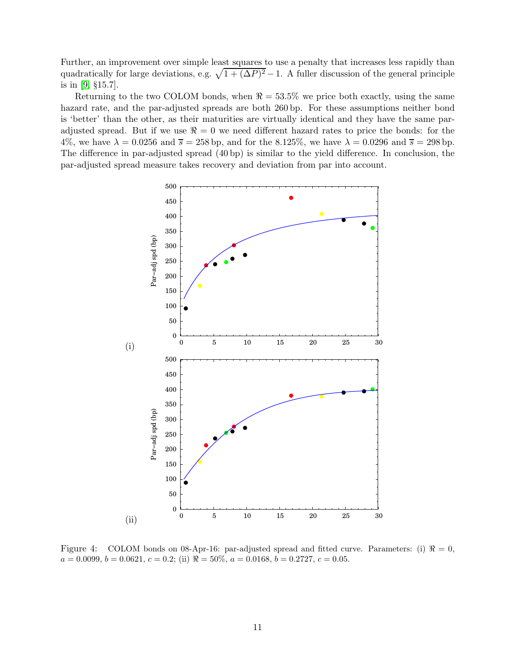Further, an improvement over simple least squares to use a penalty that increases less rapidly than quadratically for large deviations, e.g.  $\sqrt{1 + (\Delta P)^2} - 1$ . A fuller discussion of the general principle is in [\[9,](#page-18-7) §15.7].

Returning to the two COLOM bonds, when  $\Re = 53.5\%$  we price both exactly, using the same hazard rate, and the par-adjusted spreads are both 260 bp. For these assumptions neither bond is 'better' than the other, as their maturities are virtually identical and they have the same paradjusted spread. But if we use  $\Re = 0$  we need different hazard rates to price the bonds: for the 4%, we have  $\lambda = 0.0256$  and  $\overline{s} = 258$  bp, and for the 8.125%, we have  $\lambda = 0.0296$  and  $\overline{s} = 298$  bp. The difference in par-adjusted spread (40 bp) is similar to the yield difference. In conclusion, the par-adjusted spread measure takes recovery and deviation from par into account.



<span id="page-10-0"></span>Figure 4: COLOM bonds on 08-Apr-16: par-adjusted spread and fitted curve. Parameters: (i)  $\Re = 0$ ,  $a = 0.0099, b = 0.0621, c = 0.2$ ; (ii)  $\Re = 50\%, a = 0.0168, b = 0.2727, c = 0.05$ .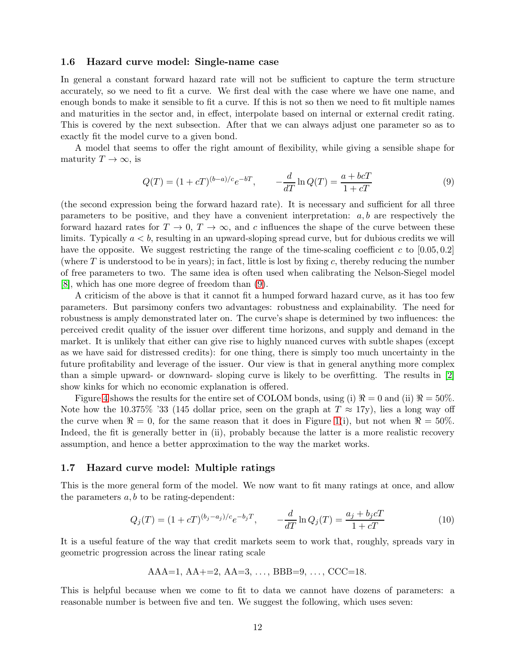#### 1.6 Hazard curve model: Single-name case

In general a constant forward hazard rate will not be sufficient to capture the term structure accurately, so we need to fit a curve. We first deal with the case where we have one name, and enough bonds to make it sensible to fit a curve. If this is not so then we need to fit multiple names and maturities in the sector and, in effect, interpolate based on internal or external credit rating. This is covered by the next subsection. After that we can always adjust one parameter so as to exactly fit the model curve to a given bond.

A model that seems to offer the right amount of flexibility, while giving a sensible shape for maturity  $T \to \infty$ , is

<span id="page-11-0"></span>
$$
Q(T) = (1 + cT)^{(b-a)/c} e^{-bT}, \qquad -\frac{d}{dT} \ln Q(T) = \frac{a + b cT}{1 + cT}
$$
(9)

(the second expression being the forward hazard rate). It is necessary and sufficient for all three parameters to be positive, and they have a convenient interpretation:  $a, b$  are respectively the forward hazard rates for  $T \to 0$ ,  $T \to \infty$ , and c influences the shape of the curve between these limits. Typically  $a < b$ , resulting in an upward-sloping spread curve, but for dubious credits we will have the opposite. We suggest restricting the range of the time-scaling coefficient c to  $[0.05, 0.2]$ (where  $T$  is understood to be in years); in fact, little is lost by fixing  $c$ , thereby reducing the number of free parameters to two. The same idea is often used when calibrating the Nelson-Siegel model [\[8\]](#page-18-8), which has one more degree of freedom than [\(9\)](#page-11-0).

A criticism of the above is that it cannot fit a humped forward hazard curve, as it has too few parameters. But parsimony confers two advantages: robustness and explainability. The need for robustness is amply demonstrated later on. The curve's shape is determined by two influences: the perceived credit quality of the issuer over different time horizons, and supply and demand in the market. It is unlikely that either can give rise to highly nuanced curves with subtle shapes (except as we have said for distressed credits): for one thing, there is simply too much uncertainty in the future profitability and leverage of the issuer. Our view is that in general anything more complex than a simple upward- or downward- sloping curve is likely to be overfitting. The results in [\[2\]](#page-18-4) show kinks for which no economic explanation is offered.

Figure [4](#page-10-0) shows the results for the entire set of COLOM bonds, using (i)  $\Re = 0$  and (ii)  $\Re = 50\%$ . Note how the 10.375% '33 (145 dollar price, seen on the graph at  $T \approx 17$ y), lies a long way off the curve when  $\Re = 0$ , for the same reason that it does in Figure [1\(](#page-6-0)i), but not when  $\Re = 50\%$ . Indeed, the fit is generally better in (ii), probably because the latter is a more realistic recovery assumption, and hence a better approximation to the way the market works.

## 1.7 Hazard curve model: Multiple ratings

This is the more general form of the model. We now want to fit many ratings at once, and allow the parameters  $a, b$  to be rating-dependent:

<span id="page-11-1"></span>
$$
Q_j(T) = (1 + cT)^{(b_j - a_j)/c} e^{-b_j T}, \qquad -\frac{d}{dT} \ln Q_j(T) = \frac{a_j + b_j cT}{1 + cT}
$$
(10)

It is a useful feature of the way that credit markets seem to work that, roughly, spreads vary in geometric progression across the linear rating scale

$$
AAA=1, AA+=2, AA=3, \ldots, BBB=9, \ldots, CCC=18.
$$

This is helpful because when we come to fit to data we cannot have dozens of parameters: a reasonable number is between five and ten. We suggest the following, which uses seven: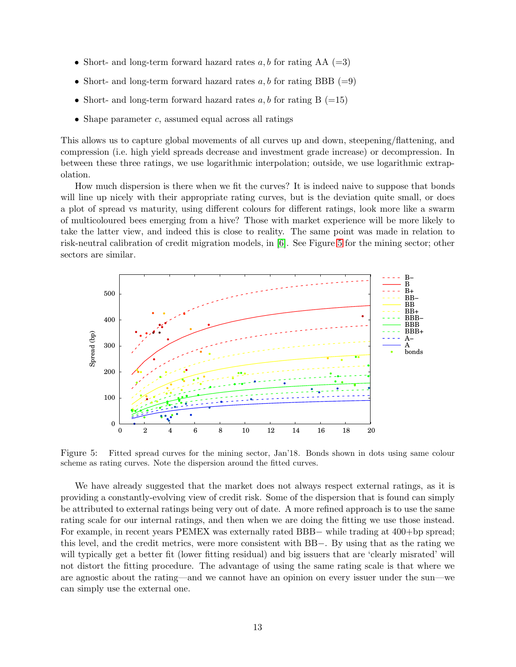- Short- and long-term forward hazard rates  $a, b$  for rating AA (=3)
- Short- and long-term forward hazard rates  $a, b$  for rating BBB (=9)
- Short- and long-term forward hazard rates  $a, b$  for rating  $B = 15$
- Shape parameter  $c$ , assumed equal across all ratings

This allows us to capture global movements of all curves up and down, steepening/flattening, and compression (i.e. high yield spreads decrease and investment grade increase) or decompression. In between these three ratings, we use logarithmic interpolation; outside, we use logarithmic extrapolation.

How much dispersion is there when we fit the curves? It is indeed naive to suppose that bonds will line up nicely with their appropriate rating curves, but is the deviation quite small, or does a plot of spread vs maturity, using different colours for different ratings, look more like a swarm of multicoloured bees emerging from a hive? Those with market experience will be more likely to take the latter view, and indeed this is close to reality. The same point was made in relation to risk-neutral calibration of credit migration models, in [\[6\]](#page-18-3). See Figure [5](#page-12-0) for the mining sector; other sectors are similar.



<span id="page-12-0"></span>Figure 5: Fitted spread curves for the mining sector, Jan'18. Bonds shown in dots using same colour scheme as rating curves. Note the dispersion around the fitted curves.

We have already suggested that the market does not always respect external ratings, as it is providing a constantly-evolving view of credit risk. Some of the dispersion that is found can simply be attributed to external ratings being very out of date. A more refined approach is to use the same rating scale for our internal ratings, and then when we are doing the fitting we use those instead. For example, in recent years PEMEX was externally rated BBB− while trading at 400+bp spread; this level, and the credit metrics, were more consistent with BB−. By using that as the rating we will typically get a better fit (lower fitting residual) and big issuers that are 'clearly misrated' will not distort the fitting procedure. The advantage of using the same rating scale is that where we are agnostic about the rating—and we cannot have an opinion on every issuer under the sun—we can simply use the external one.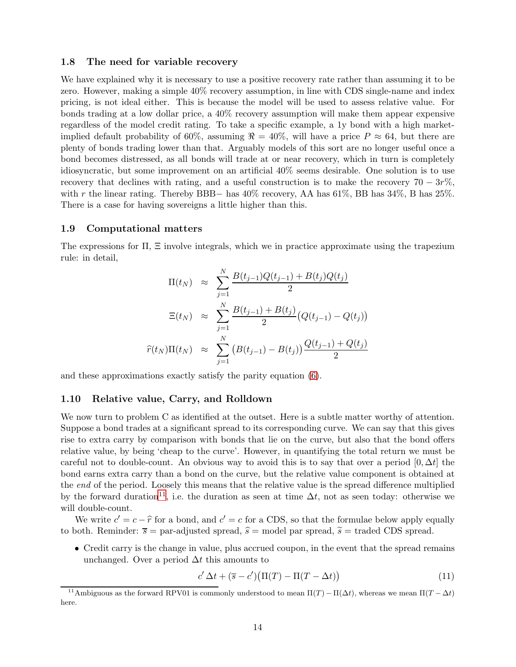#### 1.8 The need for variable recovery

We have explained why it is necessary to use a positive recovery rate rather than assuming it to be zero. However, making a simple 40% recovery assumption, in line with CDS single-name and index pricing, is not ideal either. This is because the model will be used to assess relative value. For bonds trading at a low dollar price, a 40% recovery assumption will make them appear expensive regardless of the model credit rating. To take a specific example, a 1y bond with a high marketimplied default probability of 60%, assuming  $\Re = 40\%$ , will have a price  $P \approx 64$ , but there are plenty of bonds trading lower than that. Arguably models of this sort are no longer useful once a bond becomes distressed, as all bonds will trade at or near recovery, which in turn is completely idiosyncratic, but some improvement on an artificial 40% seems desirable. One solution is to use recovery that declines with rating, and a useful construction is to make the recovery 70 –  $3r\%$ . with r the linear rating. Thereby BBB– has  $40\%$  recovery, AA has  $61\%$ , BB has  $34\%$ , B has  $25\%$ . There is a case for having sovereigns a little higher than this.

#### 1.9 Computational matters

The expressions for  $\Pi$ ,  $\Xi$  involve integrals, which we in practice approximate using the trapezium rule: in detail,

$$
\Pi(t_N) \approx \sum_{j=1}^{N} \frac{B(t_{j-1})Q(t_{j-1}) + B(t_j)Q(t_j)}{2}
$$

$$
\Xi(t_N) \approx \sum_{j=1}^{N} \frac{B(t_{j-1}) + B(t_j)}{2} (Q(t_{j-1}) - Q(t_j))
$$

$$
\widehat{r}(t_N)\Pi(t_N) \approx \sum_{j=1}^{N} (B(t_{j-1}) - B(t_j)) \frac{Q(t_{j-1}) + Q(t_j)}{2}
$$

and these approximations exactly satisfy the parity equation [\(6\)](#page-9-4).

### 1.10 Relative value, Carry, and Rolldown

We now turn to problem C as identified at the outset. Here is a subtle matter worthy of attention. Suppose a bond trades at a significant spread to its corresponding curve. We can say that this gives rise to extra carry by comparison with bonds that lie on the curve, but also that the bond offers relative value, by being 'cheap to the curve'. However, in quantifying the total return we must be careful not to double-count. An obvious way to avoid this is to say that over a period  $[0, \Delta t]$  the bond earns extra carry than a bond on the curve, but the relative value component is obtained at the *end* of the period. Loosely this means that the relative value is the spread difference multiplied by the forward duration<sup>[11](#page-13-0)</sup>, i.e. the duration as seen at time  $\Delta t$ , not as seen today: otherwise we will double-count.

We write  $c' = c - \hat{r}$  for a bond, and  $c' = c$  for a CDS, so that the formulae below apply equally to both. Reminder:  $\overline{s}$  = par-adjusted spread,  $\hat{s}$  = model par spread,  $\widetilde{s}$  = traded CDS spread.

• Credit carry is the change in value, plus accrued coupon, in the event that the spread remains unchanged. Over a period  $\Delta t$  this amounts to

<span id="page-13-1"></span>
$$
c' \Delta t + (\overline{s} - c')(\Pi(T) - \Pi(T - \Delta t)) \tag{11}
$$

<span id="page-13-0"></span><sup>&</sup>lt;sup>11</sup>Ambiguous as the forward RPV01 is commonly understood to mean  $\Pi(T) - \Pi(\Delta t)$ , whereas we mean  $\Pi(T - \Delta t)$ here.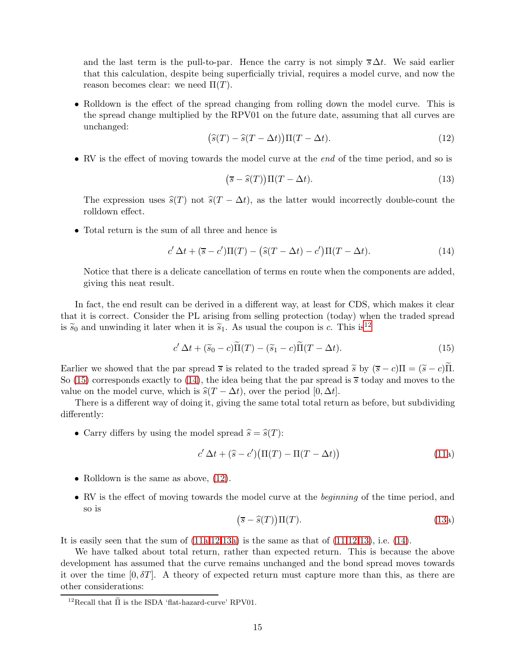and the last term is the pull-to-par. Hence the carry is not simply  $\overline{s} \Delta t$ . We said earlier that this calculation, despite being superficially trivial, requires a model curve, and now the reason becomes clear: we need  $\Pi(T)$ .

• Rolldown is the effect of the spread changing from rolling down the model curve. This is the spread change multiplied by the RPV01 on the future date, assuming that all curves are unchanged:

<span id="page-14-3"></span>
$$
(\widehat{s}(T) - \widehat{s}(T - \Delta t))\Pi(T - \Delta t). \tag{12}
$$

• RV is the effect of moving towards the model curve at the *end* of the time period, and so is

<span id="page-14-4"></span>
$$
(\overline{s} - \widehat{s}(T))\Pi(T - \Delta t). \tag{13}
$$

The expression uses  $\hat{s}(T)$  not  $\hat{s}(T - \Delta t)$ , as the latter would incorrectly double-count the rolldown effect.

• Total return is the sum of all three and hence is

<span id="page-14-2"></span>
$$
c'\Delta t + (\overline{s} - c')\Pi(T) - (\widehat{s}(T - \Delta t) - c')\Pi(T - \Delta t). \tag{14}
$$

Notice that there is a delicate cancellation of terms en route when the components are added, giving this neat result.

In fact, the end result can be derived in a different way, at least for CDS, which makes it clear that it is correct. Consider the PL arising from selling protection (today) when the traded spread is  $\tilde{s}_0$  and unwinding it later when it is  $\tilde{s}_1$ . As usual the coupon is c. This is<sup>[12](#page-14-0)</sup>

<span id="page-14-1"></span>
$$
c' \Delta t + (\widetilde{s}_0 - c)\widetilde{\Pi}(T) - (\widetilde{s}_1 - c)\widetilde{\Pi}(T - \Delta t). \tag{15}
$$

Earlier we showed that the par spread  $\overline{s}$  is related to the traded spread  $\widetilde{s}$  by  $(\overline{s} - c)\Pi = (\widetilde{s} - c)\Pi$ . So [\(15\)](#page-14-1) corresponds exactly to [\(14\)](#page-14-2), the idea being that the par spread is  $\bar{s}$  today and moves to the value on the model curve, which is  $\hat{s}(T - \Delta t)$ , over the period [0,  $\Delta t$ ].

There is a different way of doing it, giving the same total total return as before, but subdividing differently:

• Carry differs by using the model spread  $\hat{s} = \hat{s}(T)$ :

$$
c' \Delta t + (\hat{s} - c') (\Pi(T) - \Pi(T - \Delta t)) \tag{11a}
$$

- Rolldown is the same as above,  $(12)$ .
- RV is the effect of moving towards the model curve at the *beginning* of the time period, and so is

<span id="page-14-6"></span><span id="page-14-5"></span>
$$
(\overline{s} - \widehat{s}(T))\Pi(T). \tag{13a}
$$

It is e[a](#page-14-5)sily seen that the sum of  $(11a,12,13a)$  $(11a,12,13a)$  $(11a,12,13a)$  $(11a,12,13a)$  is the same as that of  $(11,12,13)$  $(11,12,13)$  $(11,12,13)$ , i.e.  $(14)$ .

We have talked about total return, rather than expected return. This is because the above development has assumed that the curve remains unchanged and the bond spread moves towards it over the time  $[0, \delta T]$ . A theory of expected return must capture more than this, as there are other considerations:

<span id="page-14-0"></span> $^{12}$ Recall that  $\widetilde{\Pi}$  is the ISDA 'flat-hazard-curve' RPV01.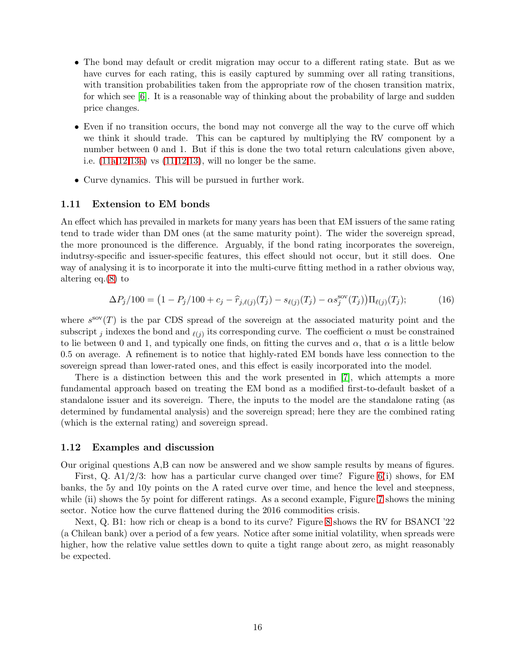- The bond may default or credit migration may occur to a different rating state. But as we have curves for each rating, this is easily captured by summing over all rating transitions, with transition probabilities taken from the appropriate row of the chosen transition matrix, for which see [\[6\]](#page-18-3). It is a reasonable way of thinking about the probability of large and sudden price changes.
- Even if no transition occurs, the bond may not converge all the way to the curve off which we think it should trade. This can be captured by multiplying the RV component by a number between 0 and 1. But if this is done the two total return calculations given above, i.e. [\(11](#page-13-1)[a](#page-14-5)[,12](#page-14-3)[,13](#page-14-4)[a\)](#page-14-6) vs [\(11](#page-13-1)[,12](#page-14-3)[,13\)](#page-14-4), will no longer be the same.
- Curve dynamics. This will be pursued in further work.

# 1.11 Extension to EM bonds

An effect which has prevailed in markets for many years has been that EM issuers of the same rating tend to trade wider than DM ones (at the same maturity point). The wider the sovereign spread, the more pronounced is the difference. Arguably, if the bond rating incorporates the sovereign, indutrsy-specific and issuer-specific features, this effect should not occur, but it still does. One way of analysing it is to incorporate it into the multi-curve fitting method in a rather obvious way, altering eq.[\(8\)](#page-9-5) to

$$
\Delta P_j/100 = (1 - P_j/100 + c_j - \hat{r}_{j,\ell(j)}(T_j) - s_{\ell(j)}(T_j) - \alpha s_j^{\text{sov}}(T_j))\Pi_{\ell(j)}(T_j); \tag{16}
$$

where  $s^{\rm so}(T)$  is the par CDS spread of the sovereign at the associated maturity point and the subscript j indexes the bond and  $_{\ell(j)}$  its corresponding curve. The coefficient  $\alpha$  must be constrained to lie between 0 and 1, and typically one finds, on fitting the curves and  $\alpha$ , that  $\alpha$  is a little below 0.5 on average. A refinement is to notice that highly-rated EM bonds have less connection to the sovereign spread than lower-rated ones, and this effect is easily incorporated into the model.

There is a distinction between this and the work presented in [\[7\]](#page-18-0), which attempts a more fundamental approach based on treating the EM bond as a modified first-to-default basket of a standalone issuer and its sovereign. There, the inputs to the model are the standalone rating (as determined by fundamental analysis) and the sovereign spread; here they are the combined rating (which is the external rating) and sovereign spread.

#### 1.12 Examples and discussion

Our original questions A,B can now be answered and we show sample results by means of figures.

First, Q. A1/2/3: how has a particular curve changed over time? Figure [6\(](#page-16-0)i) shows, for EM banks, the 5y and 10y points on the A rated curve over time, and hence the level and steepness, while (ii) shows the 5y point for different ratings. As a second example, Figure [7](#page-16-1) shows the mining sector. Notice how the curve flattened during the 2016 commodities crisis.

Next, Q. B1: how rich or cheap is a bond to its curve? Figure [8](#page-17-0) shows the RV for BSANCI '22 (a Chilean bank) over a period of a few years. Notice after some initial volatility, when spreads were higher, how the relative value settles down to quite a tight range about zero, as might reasonably be expected.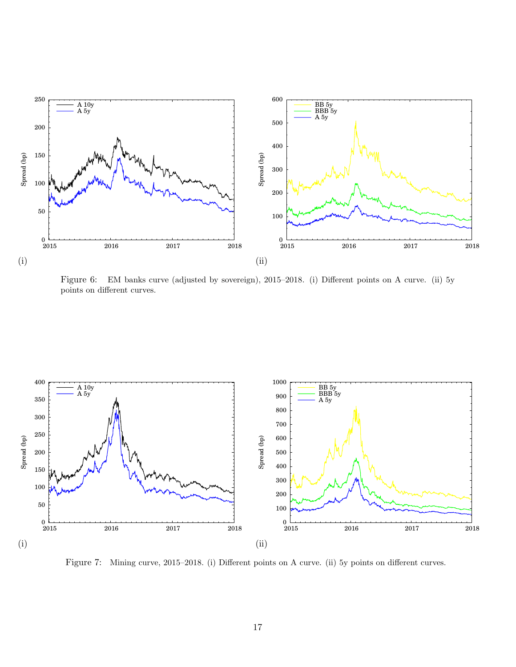

<span id="page-16-0"></span>Figure 6: EM banks curve (adjusted by sovereign), 2015–2018. (i) Different points on A curve. (ii) 5y points on different curves.



<span id="page-16-1"></span>Figure 7: Mining curve, 2015–2018. (i) Different points on A curve. (ii) 5y points on different curves.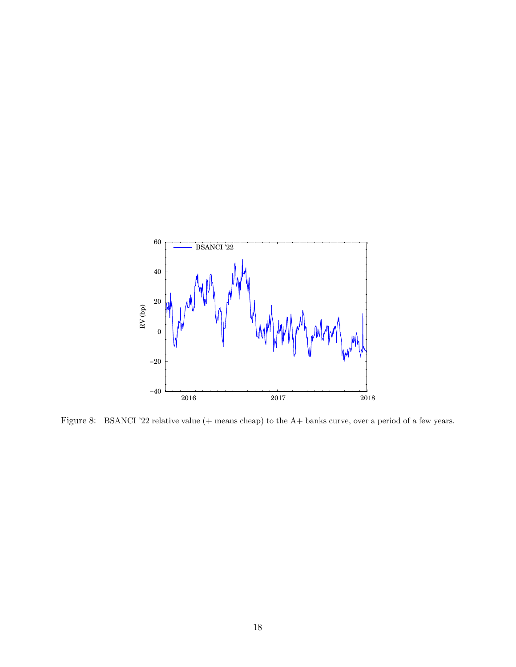

<span id="page-17-0"></span>Figure 8: BSANCI '22 relative value (+ means cheap) to the A+ banks curve, over a period of a few years.